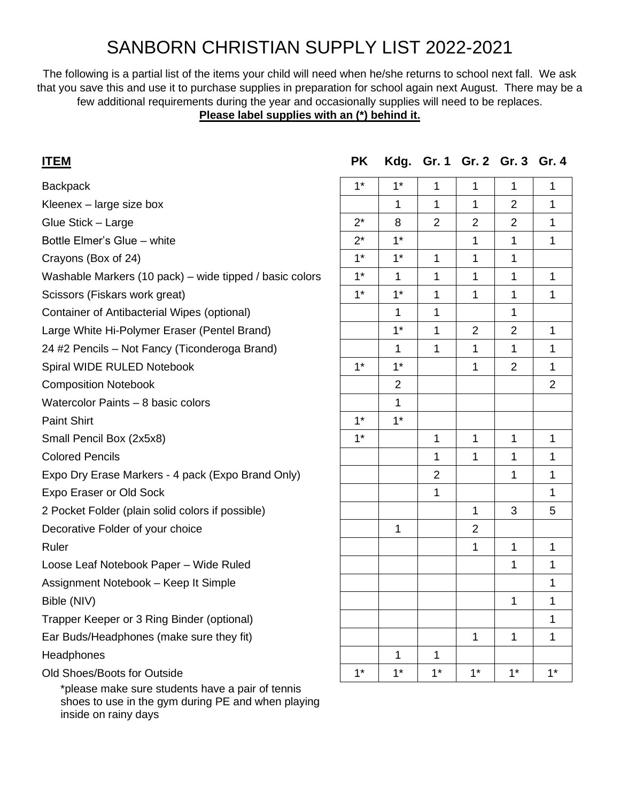# SANBORN CHRISTIAN SUPPLY LIST 2022-2021

The following is a partial list of the items your child will need when he/she returns to school next fall. We ask that you save this and use it to purchase supplies in preparation for school again next August. There may be a few additional requirements during the year and occasionally supplies will need to be replaces. **Please label supplies with an (\*) behind it.**

## **ITEM PK Kdg. Gr. 1 Gr. 2 Gr. 3 Gr. 4**

| <b>Backpack</b>                                         | $1*$  | $1^*$          | $\mathbf{1}$   | 1              | 1              | $\mathbf 1$    |
|---------------------------------------------------------|-------|----------------|----------------|----------------|----------------|----------------|
| Kleenex - large size box                                |       | 1              | $\mathbf{1}$   | 1              | $\overline{2}$ | 1              |
| Glue Stick - Large                                      | $2^*$ | 8              | $\overline{2}$ | $\overline{2}$ | $\overline{2}$ | 1              |
| Bottle Elmer's Glue - white                             | $2^*$ | $1*$           |                | 1              | 1              | $\mathbf{1}$   |
| Crayons (Box of 24)                                     | $1^*$ | $1^*$          | 1              | 1              | 1              |                |
| Washable Markers (10 pack) – wide tipped / basic colors | $1^*$ | 1              | 1              | 1              | 1              | $\mathbf{1}$   |
| Scissors (Fiskars work great)                           | $1^*$ | $1^*$          | $\mathbf{1}$   | $\mathbf{1}$   | 1              | $\mathbf{1}$   |
| Container of Antibacterial Wipes (optional)             |       | 1              | $\mathbf{1}$   |                | 1              |                |
| Large White Hi-Polymer Eraser (Pentel Brand)            |       | $1^*$          | $\mathbf{1}$   | 2              | $\overline{2}$ | $\mathbf 1$    |
| 24 #2 Pencils - Not Fancy (Ticonderoga Brand)           |       | 1              | $\mathbf 1$    | $\mathbf{1}$   | 1              | 1              |
| Spiral WIDE RULED Notebook                              | $1^*$ | $1^*$          |                | $\mathbf{1}$   | $\overline{2}$ | $\mathbf 1$    |
| <b>Composition Notebook</b>                             |       | $\overline{2}$ |                |                |                | $\overline{2}$ |
| Watercolor Paints - 8 basic colors                      |       | 1              |                |                |                |                |
| <b>Paint Shirt</b>                                      | $1^*$ | $1^*$          |                |                |                |                |
| Small Pencil Box (2x5x8)                                | $1*$  |                | 1              | 1              | 1              | $\mathbf{1}$   |
| <b>Colored Pencils</b>                                  |       |                | $\mathbf{1}$   | $\mathbf{1}$   | 1              | $\mathbf{1}$   |
| Expo Dry Erase Markers - 4 pack (Expo Brand Only)       |       |                | $\overline{2}$ |                | 1              | $\mathbf 1$    |
| Expo Eraser or Old Sock                                 |       |                | 1              |                |                | $\mathbf{1}$   |
| 2 Pocket Folder (plain solid colors if possible)        |       |                |                | $\mathbf 1$    | 3              | 5              |
| Decorative Folder of your choice                        |       | 1              |                | $\overline{2}$ |                |                |
| Ruler                                                   |       |                |                | $\mathbf{1}$   | $\mathbf{1}$   | $\mathbf{1}$   |
| Loose Leaf Notebook Paper - Wide Ruled                  |       |                |                |                | 1              | $\mathbf 1$    |
| Assignment Notebook - Keep It Simple                    |       |                |                |                |                | $\mathbf{1}$   |
| Bible (NIV)                                             |       |                |                |                | 1              | $\mathbf 1$    |
| Trapper Keeper or 3 Ring Binder (optional)              |       |                |                |                |                | 1              |
| Ear Buds/Headphones (make sure they fit)                |       |                |                | $\mathbf{1}$   | $\mathbf{1}$   | $\mathbf{1}$   |
| Headphones                                              |       | 1              | 1              |                |                |                |
| Old Shoes/Boots for Outside                             | $1*$  | $1*$           | $1*$           | $1^*$          | $1^*$          | $1*$           |
| *please make sure students have a pair of tennis        |       |                |                |                |                |                |

 shoes to use in the gym during PE and when playing inside on rainy days

| $1*$                  | $1*$                    | $\mathbf 1$             | $\mathbf{1}$            | $\mathbf{1}$            | $\mathbf{1}$            |
|-----------------------|-------------------------|-------------------------|-------------------------|-------------------------|-------------------------|
|                       | $\mathbf{1}$            | $\mathbf{1}$            | $\mathbf{1}$            | $\overline{\mathbf{c}}$ | $\mathbf 1$             |
|                       | 8                       | $\overline{2}$          | $\overline{2}$          | $\overline{2}$          | $\overline{1}$          |
| $\frac{2^{*}}{2^{*}}$ | $1*$                    |                         | $\overline{\mathbf{1}}$ | $\overline{1}$          | $\overline{\mathbf{1}}$ |
| $1^*$                 | $1^*$                   | $\mathbf{1}$            | $\overline{\mathbf{1}}$ | $\overline{\mathbf{1}}$ |                         |
| $1*$                  | $\mathbf{1}$            | $\overline{1}$          | $\overline{\mathbf{1}}$ | $\overline{1}$          | $\overline{1}$          |
| $1^*$                 | $1^*$                   | $\mathbf{1}$            | $\overline{1}$          | $\mathbf{1}$            | $\overline{1}$          |
|                       | $\overline{\mathbf{1}}$ | $\overline{\mathbf{1}}$ |                         | $\overline{1}$          |                         |
|                       | $1*$                    | $\mathbf 1$             | $\overline{2}$          | $\overline{\mathbf{c}}$ | 1                       |
|                       | $\overline{1}$          | $\mathbf{1}$            | $\overline{1}$          | $\mathbf{1}$            | $\mathbf{1}$            |
| $1*$                  | $1^*$                   |                         | $\overline{1}$          | $\overline{c}$          | $\overline{1}$          |
|                       | $\overline{\mathbf{c}}$ |                         |                         |                         | $\overline{2}$          |
|                       | $\overline{1}$          |                         |                         |                         |                         |
| $1*$                  | $1^*$                   |                         |                         |                         |                         |
| $1^*$                 |                         | $\mathbf 1$             | $\mathbf{1}$            | 1                       | $\mathbf{1}$            |
|                       |                         | $\overline{1}$          | $\overline{\mathbf{1}}$ | $\overline{1}$          | $\overline{\mathbf{1}}$ |
|                       |                         | $\overline{c}$          |                         | $\overline{\mathbf{1}}$ | $\overline{\mathbf{1}}$ |
|                       |                         | $\overline{1}$          |                         |                         | $\overline{1}$          |
|                       |                         |                         | $\mathbf 1$             | 3                       | 5                       |
|                       | $\mathbf 1$             |                         | $\overline{c}$          |                         |                         |
|                       |                         |                         | $\overline{1}$          | $\mathbf{1}$            | $\mathbf{1}$            |
|                       |                         |                         |                         | $\overline{\mathbf{1}}$ | $\overline{\mathbf{1}}$ |
|                       |                         |                         |                         |                         | $\overline{1}$          |
|                       |                         |                         |                         | $\mathbf{1}$            | $\mathbf{1}$            |
|                       |                         |                         |                         |                         | $\overline{\mathbf{1}}$ |
|                       |                         |                         | $\mathbf{1}$            | 1                       | $\overline{1}$          |
|                       | $\mathbf 1$             | 1                       |                         |                         |                         |
| $1*$                  | $1^*$                   | $1*$                    | $1^*$                   | $1*$                    | $1^*$                   |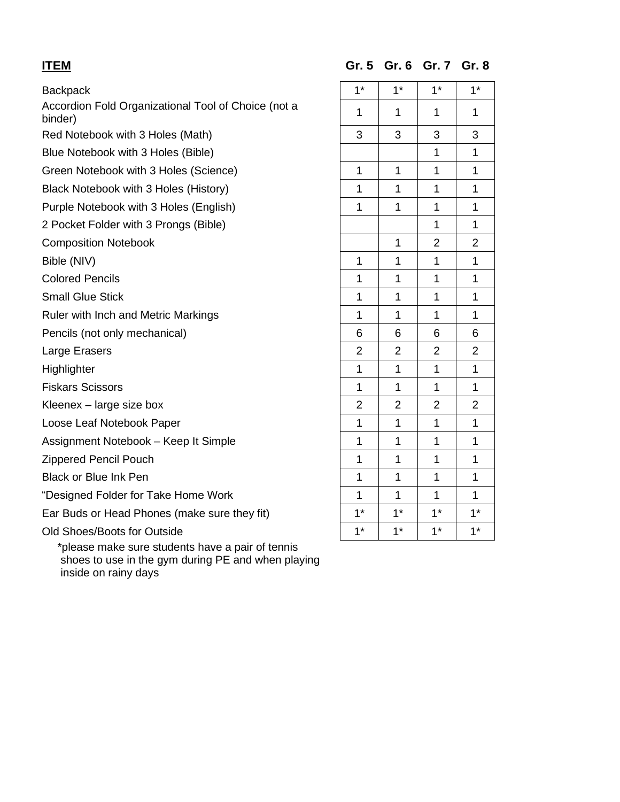### Backpack

Accordion Fold Organizational Tool of Choice (not a  $\begin{array}{|c|c|c|c|c|}\n1 & 1 & 1 & 1 \\
\hline\n\end{array}$ 

Red Notebook with 3 Holes (Math)

Blue Notebook with 3 Holes (Bible)

Green Notebook with 3 Holes (Science)

Black Notebook with 3 Holes (History)

Purple Notebook with 3 Holes (English)

2 Pocket Folder with 3 Prongs (Bible)

**Composition Notebook** 

Bible (NIV)

**Colored Pencils** 

**Small Glue Stick** 

Ruler with Inch and Metric Markings

Pencils (not only mechanical)

Large Erasers

**Highlighter** 

**Fiskars Scissors** 

Kleenex  $-$  large size box

Loose Leaf Notebook Paper

Assignment Notebook – Keep It Simple

Zippered Pencil Pouch

Black or Blue Ink Pen

"Designed Folder for Take Home Work

Ear Buds or Head Phones (make sure they fit)

Old Shoes/Boots for Outside

 \*please make sure students have a pair of tennis shoes to use in the gym during PE and when playing inside on rainy days

**ITEM Gr. 5 Gr. 6 Gr. 7 Gr. 8**

| $1^*$                                                    | $1^*$                                                   | $1^*$                       | $1^*$                       |
|----------------------------------------------------------|---------------------------------------------------------|-----------------------------|-----------------------------|
| $\overline{1}$                                           | $\overline{1}$                                          | $\ddot{\phantom{1}}$        | $\overline{1}$              |
| $\overline{3}$                                           | $\overline{3}$                                          | $\overline{3}$              | $\overline{3}$              |
|                                                          |                                                         | $\frac{1}{1}$               | $\overline{1}$              |
|                                                          |                                                         | $\overline{1}$              | $\overline{1}$              |
| $\frac{1}{1}$                                            | $\frac{1}{1}$                                           | $\overline{1}$              | $\overline{1}$              |
|                                                          |                                                         | $\overline{1}$              | $\overline{1}$              |
|                                                          |                                                         | $\overline{1}$              | $\overline{1}$              |
|                                                          | $\mathbf 1$                                             | $\frac{2}{\sqrt{2}}$        | $\frac{2}{\sqrt{2}}$        |
| $\mathbf{1}$                                             | $\mathbf{1}$                                            | $\overline{1}$              | $\overline{1}$              |
| $\overline{1}$                                           | $\mathbf{1}$                                            | $\overline{1}$              | $\overline{1}$              |
| $\overline{1}$                                           | $\overline{1}$                                          | $\overline{1}$              | $\overline{1}$              |
| $\overline{1}$                                           | $\overline{1}$                                          | $\overline{1}$              | $\overline{1}$              |
|                                                          |                                                         |                             |                             |
| $\frac{16}{2}$ $\frac{2}{1}$ $\frac{1}{2}$ $\frac{2}{1}$ | $\frac{6}{2}$ $\frac{2}{1}$ $\frac{1}{2}$ $\frac{2}{1}$ | $\frac{6}{2}$ $\frac{2}{1}$ | $\frac{6}{2}$ $\frac{1}{1}$ |
|                                                          |                                                         |                             |                             |
|                                                          |                                                         | $\frac{1}{2}$ $\frac{2}{1}$ | $\overline{1}$              |
|                                                          |                                                         |                             | $\frac{2}{1}$               |
|                                                          |                                                         |                             |                             |
| $\overline{1}$                                           | $\overline{1}$                                          | $\overline{1}$              | $\overline{1}$              |
| $\overline{1}$                                           | $\overline{1}$                                          | $\overline{1}$              | $\overline{1}$              |
| $\overline{1}$                                           | $\overline{1}$                                          | $\overline{1}$              | $\overline{1}$              |
| $\overline{1}$                                           | $\overline{1}$                                          | $\overline{1}$              | $\overline{1}$              |
| $\frac{1}{1}$                                            | $\frac{1}{1}$                                           | $\frac{1}{1}$               | $\frac{1}{1}$               |
|                                                          |                                                         |                             |                             |